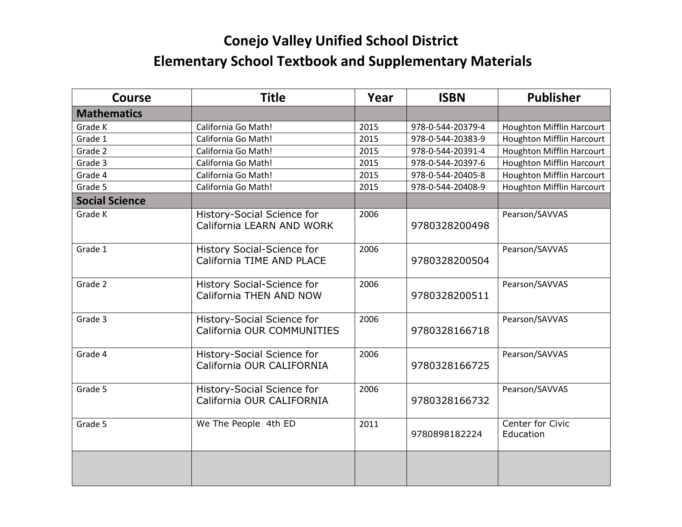## **Conejo Valley Unified School District**

## **Elementary School Textbook and Supplementary Materials**

| <b>Course</b>         | <b>Title</b>                                                   | Year | <b>ISBN</b>       | <b>Publisher</b>                 |
|-----------------------|----------------------------------------------------------------|------|-------------------|----------------------------------|
| <b>Mathematics</b>    |                                                                |      |                   |                                  |
| Grade K               | California Go Math!                                            | 2015 | 978-0-544-20379-4 | Houghton Mifflin Harcourt        |
| Grade 1               | California Go Math!                                            | 2015 | 978-0-544-20383-9 | Houghton Mifflin Harcourt        |
| Grade 2               | California Go Math!                                            | 2015 | 978-0-544-20391-4 | <b>Houghton Mifflin Harcourt</b> |
| Grade 3               | California Go Math!                                            | 2015 | 978-0-544-20397-6 | Houghton Mifflin Harcourt        |
| Grade 4               | California Go Math!                                            | 2015 | 978-0-544-20405-8 | <b>Houghton Mifflin Harcourt</b> |
| Grade 5               | California Go Math!                                            | 2015 | 978-0-544-20408-9 | <b>Houghton Mifflin Harcourt</b> |
| <b>Social Science</b> |                                                                |      |                   |                                  |
| Grade K               | History-Social Science for<br>California LEARN AND WORK        | 2006 | 9780328200498     | Pearson/SAVVAS                   |
| Grade 1               | <b>History Social-Science for</b><br>California TIME AND PLACE | 2006 | 9780328200504     | Pearson/SAVVAS                   |
| Grade 2               | <b>History Social-Science for</b><br>California THEN AND NOW   | 2006 | 9780328200511     | Pearson/SAVVAS                   |
| Grade 3               | History-Social Science for<br>California OUR COMMUNITIES       | 2006 | 9780328166718     | Pearson/SAVVAS                   |
| Grade 4               | History-Social Science for<br>California OUR CALIFORNIA        | 2006 | 9780328166725     | Pearson/SAVVAS                   |
| Grade 5               | History-Social Science for<br>California OUR CALIFORNIA        | 2006 | 9780328166732     | Pearson/SAVVAS                   |
| Grade 5               | We The People 4th ED                                           | 2011 | 9780898182224     | Center for Civic<br>Education    |
|                       |                                                                |      |                   |                                  |